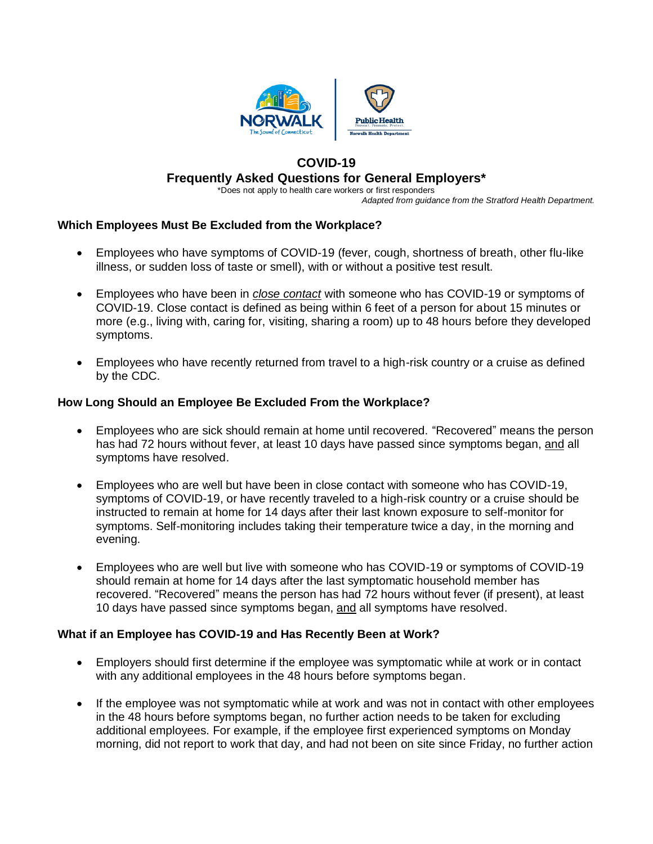

# **COVID-19 Frequently Asked Questions for General Employers\***

\*Does not apply to health care workers or first responders *Adapted from guidance from the Stratford Health Department.*

### **Which Employees Must Be Excluded from the Workplace?**

- Employees who have symptoms of COVID-19 (fever, cough, shortness of breath, other flu-like illness, or sudden loss of taste or smell), with or without a positive test result.
- Employees who have been in *close contact* with someone who has COVID-19 or symptoms of COVID-19. Close contact is defined as being within 6 feet of a person for about 15 minutes or more (e.g., living with, caring for, visiting, sharing a room) up to 48 hours before they developed symptoms.
- Employees who have recently returned from travel to a high-risk country or a cruise as defined by the CDC.

### **How Long Should an Employee Be Excluded From the Workplace?**

- Employees who are sick should remain at home until recovered. "Recovered" means the person has had 72 hours without fever, at least 10 days have passed since symptoms began, and all symptoms have resolved.
- Employees who are well but have been in close contact with someone who has COVID-19, symptoms of COVID-19, or have recently traveled to a high-risk country or a cruise should be instructed to remain at home for 14 days after their last known exposure to self-monitor for symptoms. Self-monitoring includes taking their temperature twice a day, in the morning and evening.
- Employees who are well but live with someone who has COVID-19 or symptoms of COVID-19 should remain at home for 14 days after the last symptomatic household member has recovered. "Recovered" means the person has had 72 hours without fever (if present), at least 10 days have passed since symptoms began, and all symptoms have resolved.

### **What if an Employee has COVID-19 and Has Recently Been at Work?**

- Employers should first determine if the employee was symptomatic while at work or in contact with any additional employees in the 48 hours before symptoms began.
- If the employee was not symptomatic while at work and was not in contact with other employees in the 48 hours before symptoms began, no further action needs to be taken for excluding additional employees. For example, if the employee first experienced symptoms on Monday morning, did not report to work that day, and had not been on site since Friday, no further action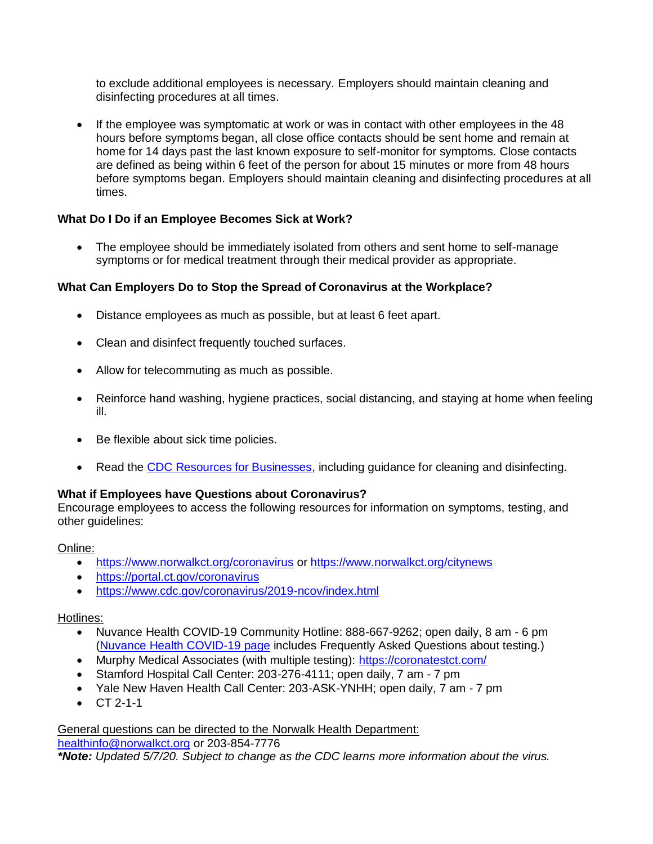to exclude additional employees is necessary. Employers should maintain cleaning and disinfecting procedures at all times.

• If the employee was symptomatic at work or was in contact with other employees in the 48 hours before symptoms began, all close office contacts should be sent home and remain at home for 14 days past the last known exposure to self-monitor for symptoms. Close contacts are defined as being within 6 feet of the person for about 15 minutes or more from 48 hours before symptoms began. Employers should maintain cleaning and disinfecting procedures at all times.

# **What Do I Do if an Employee Becomes Sick at Work?**

• The employee should be immediately isolated from others and sent home to self-manage symptoms or for medical treatment through their medical provider as appropriate.

# **What Can Employers Do to Stop the Spread of Coronavirus at the Workplace?**

- Distance employees as much as possible, but at least 6 feet apart.
- Clean and disinfect frequently touched surfaces.
- Allow for telecommuting as much as possible.
- Reinforce hand washing, hygiene practices, social distancing, and staying at home when feeling ill.
- Be flexible about sick time policies.
- Read the [CDC Resources for Businesses,](https://www.cdc.gov/coronavirus/2019-ncov/community/organizations/businesses-employers.html) including guidance for cleaning and disinfecting.

# **What if Employees have Questions about Coronavirus?**

Encourage employees to access the following resources for information on symptoms, testing, and other guidelines:

### Online:

- <https://www.norwalkct.org/coronavirus> or<https://www.norwalkct.org/citynews>
- <https://portal.ct.gov/coronavirus>
- <https://www.cdc.gov/coronavirus/2019-ncov/index.html>

### Hotlines:

- Nuvance Health COVID-19 Community Hotline: 888-667-9262; open daily, 8 am 6 pm [\(Nuvance Health COVID-19 page](https://patients.healthquest.org/novel-coronavirus-covid-19-update-2/) includes Frequently Asked Questions about testing.)
- Murphy Medical Associates (with multiple testing):<https://coronatestct.com/>
- Stamford Hospital Call Center: 203-276-4111; open daily, 7 am 7 pm
- Yale New Haven Health Call Center: 203-ASK-YNHH; open daily, 7 am 7 pm
- $\bullet$  CT 2-1-1

General questions can be directed to the Norwalk Health Department: [healthinfo@norwalkct.org](mailto:healthinfo@norwalkct.org) or 203-854-7776 *\*Note: Updated 5/7/20. Subject to change as the CDC learns more information about the virus.*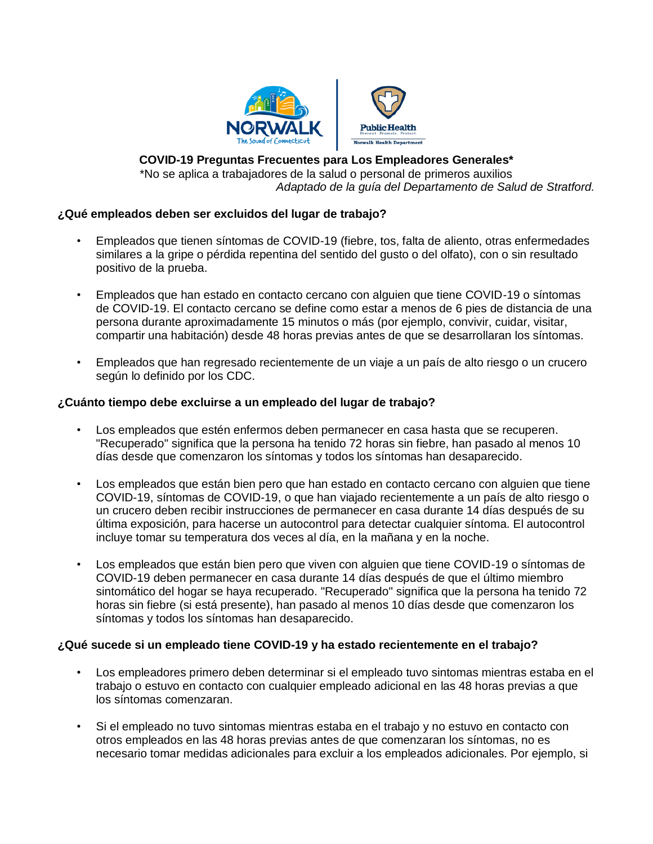

### **COVID-19 Preguntas Frecuentes para Los Empleadores Generales\***

\*No se aplica a trabajadores de la salud o personal de primeros auxilios *Adaptado de la guía del Departamento de Salud de Stratford.* 

### **¿Qué empleados deben ser excluidos del lugar de trabajo?**

- Empleados que tienen síntomas de COVID-19 (fiebre, tos, falta de aliento, otras enfermedades similares a la gripe o pérdida repentina del sentido del gusto o del olfato), con o sin resultado positivo de la prueba.
- Empleados que han estado en contacto cercano con alguien que tiene COVID-19 o síntomas de COVID-19. El contacto cercano se define como estar a menos de 6 pies de distancia de una persona durante aproximadamente 15 minutos o más (por ejemplo, convivir, cuidar, visitar, compartir una habitación) desde 48 horas previas antes de que se desarrollaran los síntomas.
- Empleados que han regresado recientemente de un viaje a un país de alto riesgo o un crucero según lo definido por los CDC.

#### **¿Cuánto tiempo debe excluirse a un empleado del lugar de trabajo?**

- Los empleados que estén enfermos deben permanecer en casa hasta que se recuperen. "Recuperado" significa que la persona ha tenido 72 horas sin fiebre, han pasado al menos 10 días desde que comenzaron los síntomas y todos los síntomas han desaparecido.
- Los empleados que están bien pero que han estado en contacto cercano con alguien que tiene COVID-19, síntomas de COVID-19, o que han viajado recientemente a un país de alto riesgo o un crucero deben recibir instrucciones de permanecer en casa durante 14 días después de su última exposición, para hacerse un autocontrol para detectar cualquier síntoma. El autocontrol incluye tomar su temperatura dos veces al día, en la mañana y en la noche.
- Los empleados que están bien pero que viven con alguien que tiene COVID-19 o síntomas de COVID-19 deben permanecer en casa durante 14 días después de que el último miembro sintomático del hogar se haya recuperado. "Recuperado" significa que la persona ha tenido 72 horas sin fiebre (si está presente), han pasado al menos 10 días desde que comenzaron los síntomas y todos los síntomas han desaparecido.

### **¿Qué sucede si un empleado tiene COVID-19 y ha estado recientemente en el trabajo?**

- Los empleadores primero deben determinar si el empleado tuvo sintomas mientras estaba en el trabajo o estuvo en contacto con cualquier empleado adicional en las 48 horas previas a que los síntomas comenzaran.
- Si el empleado no tuvo sintomas mientras estaba en el trabajo y no estuvo en contacto con otros empleados en las 48 horas previas antes de que comenzaran los síntomas, no es necesario tomar medidas adicionales para excluir a los empleados adicionales. Por ejemplo, si